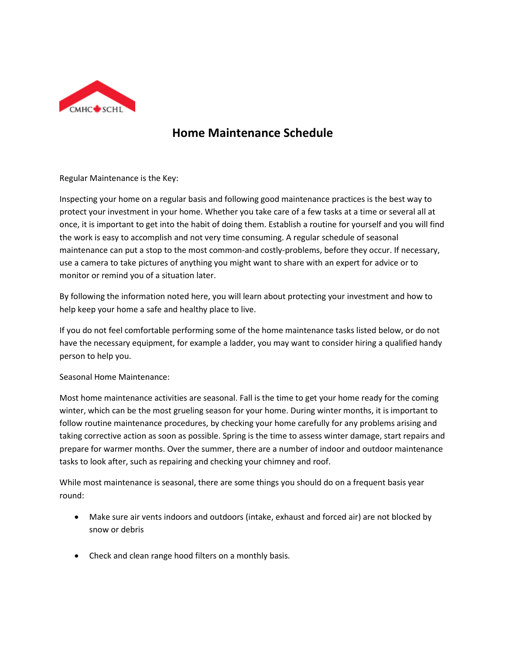

## **Home Maintenance Schedule**

Regular Maintenance is the Key:

Inspecting your home on a regular basis and following good maintenance practices is the best way to protect your investment in your home. Whether you take care of a few tasks at a time or several all at once, it is important to get into the habit of doing them. Establish a routine for yourself and you will find the work is easy to accomplish and not very time consuming. A regular schedule of seasonal maintenance can put a stop to the most common-and costly-problems, before they occur. If necessary, use a camera to take pictures of anything you might want to share with an expert for advice or to monitor or remind you of a situation later.

By following the information noted here, you will learn about protecting your investment and how to help keep your home a safe and healthy place to live.

If you do not feel comfortable performing some of the home maintenance tasks listed below, or do not have the necessary equipment, for example a ladder, you may want to consider hiring a qualified handy person to help you.

Seasonal Home Maintenance:

Most home maintenance activities are seasonal. Fall is the time to get your home ready for the coming winter, which can be the most grueling season for your home. During winter months, it is important to follow routine maintenance procedures, by checking your home carefully for any problems arising and taking corrective action as soon as possible. Spring is the time to assess winter damage, start repairs and prepare for warmer months. Over the summer, there are a number of indoor and outdoor maintenance tasks to look after, such as repairing and checking your chimney and roof.

While most maintenance is seasonal, there are some things you should do on a frequent basis year round:

- Make sure air vents indoors and outdoors (intake, exhaust and forced air) are not blocked by snow or debris
- Check and clean range hood filters on a monthly basis.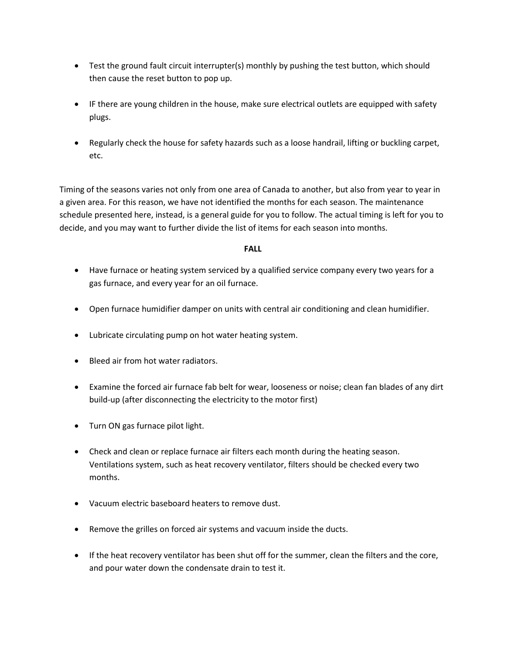- Test the ground fault circuit interrupter(s) monthly by pushing the test button, which should then cause the reset button to pop up.
- IF there are young children in the house, make sure electrical outlets are equipped with safety plugs.
- Regularly check the house for safety hazards such as a loose handrail, lifting or buckling carpet, etc.

Timing of the seasons varies not only from one area of Canada to another, but also from year to year in a given area. For this reason, we have not identified the months for each season. The maintenance schedule presented here, instead, is a general guide for you to follow. The actual timing is left for you to decide, and you may want to further divide the list of items for each season into months.

## **FALL**

- Have furnace or heating system serviced by a qualified service company every two years for a gas furnace, and every year for an oil furnace.
- Open furnace humidifier damper on units with central air conditioning and clean humidifier.
- Lubricate circulating pump on hot water heating system.
- Bleed air from hot water radiators.
- Examine the forced air furnace fab belt for wear, looseness or noise; clean fan blades of any dirt build-up (after disconnecting the electricity to the motor first)
- Turn ON gas furnace pilot light.
- Check and clean or replace furnace air filters each month during the heating season. Ventilations system, such as heat recovery ventilator, filters should be checked every two months.
- Vacuum electric baseboard heaters to remove dust.
- Remove the grilles on forced air systems and vacuum inside the ducts.
- If the heat recovery ventilator has been shut off for the summer, clean the filters and the core, and pour water down the condensate drain to test it.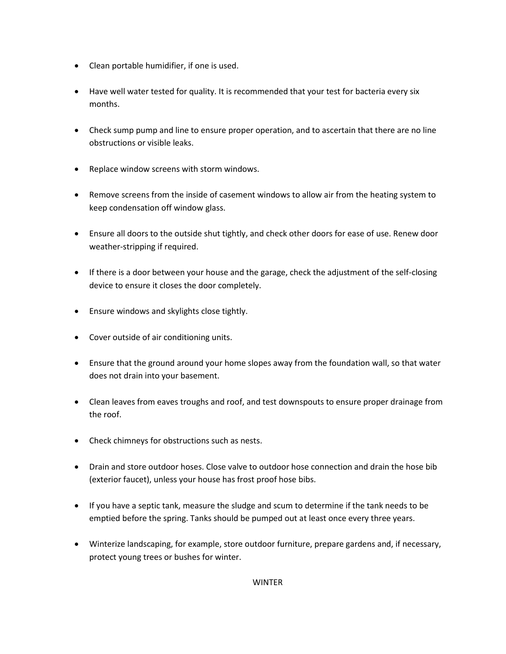- Clean portable humidifier, if one is used.
- Have well water tested for quality. It is recommended that your test for bacteria every six months.
- Check sump pump and line to ensure proper operation, and to ascertain that there are no line obstructions or visible leaks.
- Replace window screens with storm windows.
- Remove screens from the inside of casement windows to allow air from the heating system to keep condensation off window glass.
- Ensure all doors to the outside shut tightly, and check other doors for ease of use. Renew door weather-stripping if required.
- If there is a door between your house and the garage, check the adjustment of the self-closing device to ensure it closes the door completely.
- Ensure windows and skylights close tightly.
- Cover outside of air conditioning units.
- Ensure that the ground around your home slopes away from the foundation wall, so that water does not drain into your basement.
- Clean leaves from eaves troughs and roof, and test downspouts to ensure proper drainage from the roof.
- Check chimneys for obstructions such as nests.
- Drain and store outdoor hoses. Close valve to outdoor hose connection and drain the hose bib (exterior faucet), unless your house has frost proof hose bibs.
- If you have a septic tank, measure the sludge and scum to determine if the tank needs to be emptied before the spring. Tanks should be pumped out at least once every three years.
- Winterize landscaping, for example, store outdoor furniture, prepare gardens and, if necessary, protect young trees or bushes for winter.

WINTER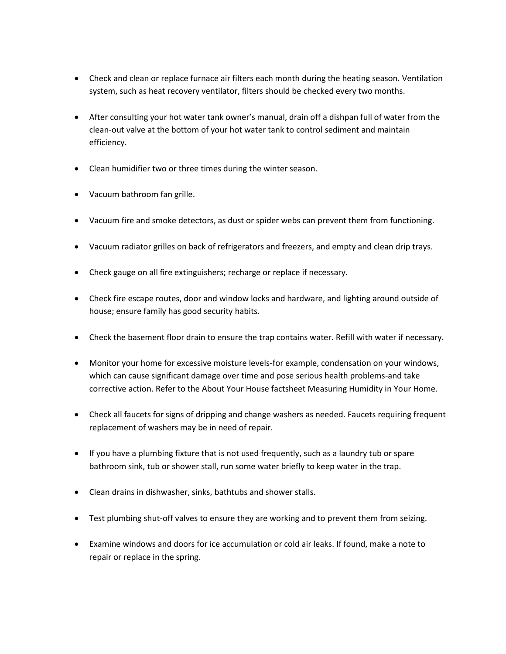- Check and clean or replace furnace air filters each month during the heating season. Ventilation system, such as heat recovery ventilator, filters should be checked every two months.
- After consulting your hot water tank owner's manual, drain off a dishpan full of water from the clean-out valve at the bottom of your hot water tank to control sediment and maintain efficiency.
- Clean humidifier two or three times during the winter season.
- Vacuum bathroom fan grille.
- Vacuum fire and smoke detectors, as dust or spider webs can prevent them from functioning.
- Vacuum radiator grilles on back of refrigerators and freezers, and empty and clean drip trays.
- Check gauge on all fire extinguishers; recharge or replace if necessary.
- Check fire escape routes, door and window locks and hardware, and lighting around outside of house; ensure family has good security habits.
- Check the basement floor drain to ensure the trap contains water. Refill with water if necessary.
- Monitor your home for excessive moisture levels-for example, condensation on your windows, which can cause significant damage over time and pose serious health problems-and take corrective action. Refer to the About Your House factsheet Measuring Humidity in Your Home.
- Check all faucets for signs of dripping and change washers as needed. Faucets requiring frequent replacement of washers may be in need of repair.
- If you have a plumbing fixture that is not used frequently, such as a laundry tub or spare bathroom sink, tub or shower stall, run some water briefly to keep water in the trap.
- Clean drains in dishwasher, sinks, bathtubs and shower stalls.
- Test plumbing shut-off valves to ensure they are working and to prevent them from seizing.
- Examine windows and doors for ice accumulation or cold air leaks. If found, make a note to repair or replace in the spring.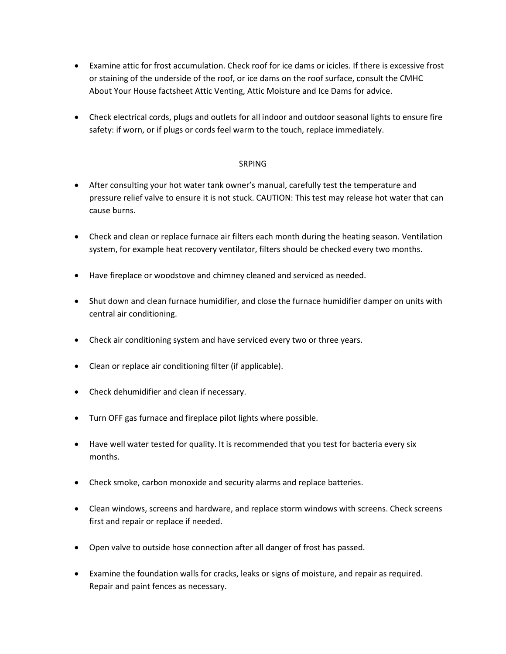- Examine attic for frost accumulation. Check roof for ice dams or icicles. If there is excessive frost or staining of the underside of the roof, or ice dams on the roof surface, consult the CMHC About Your House factsheet Attic Venting, Attic Moisture and Ice Dams for advice.
- Check electrical cords, plugs and outlets for all indoor and outdoor seasonal lights to ensure fire safety: if worn, or if plugs or cords feel warm to the touch, replace immediately.

## SRPING

- After consulting your hot water tank owner's manual, carefully test the temperature and pressure relief valve to ensure it is not stuck. CAUTION: This test may release hot water that can cause burns.
- Check and clean or replace furnace air filters each month during the heating season. Ventilation system, for example heat recovery ventilator, filters should be checked every two months.
- Have fireplace or woodstove and chimney cleaned and serviced as needed.
- Shut down and clean furnace humidifier, and close the furnace humidifier damper on units with central air conditioning.
- Check air conditioning system and have serviced every two or three years.
- Clean or replace air conditioning filter (if applicable).
- Check dehumidifier and clean if necessary.
- Turn OFF gas furnace and fireplace pilot lights where possible.
- Have well water tested for quality. It is recommended that you test for bacteria every six months.
- Check smoke, carbon monoxide and security alarms and replace batteries.
- Clean windows, screens and hardware, and replace storm windows with screens. Check screens first and repair or replace if needed.
- Open valve to outside hose connection after all danger of frost has passed.
- Examine the foundation walls for cracks, leaks or signs of moisture, and repair as required. Repair and paint fences as necessary.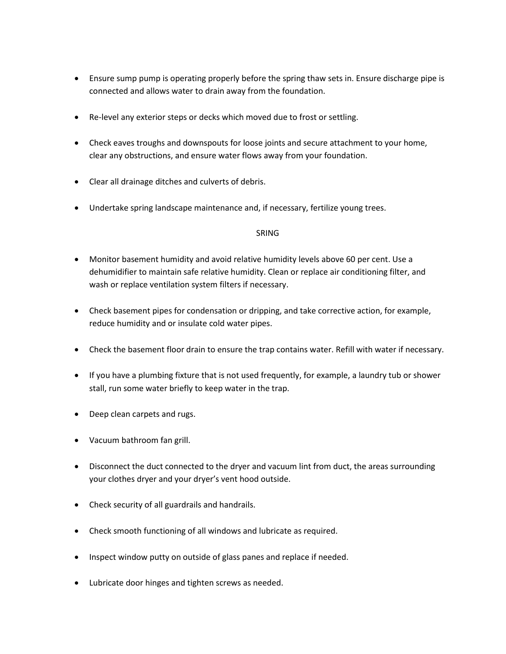- Ensure sump pump is operating properly before the spring thaw sets in. Ensure discharge pipe is connected and allows water to drain away from the foundation.
- Re-level any exterior steps or decks which moved due to frost or settling.
- Check eaves troughs and downspouts for loose joints and secure attachment to your home, clear any obstructions, and ensure water flows away from your foundation.
- Clear all drainage ditches and culverts of debris.
- Undertake spring landscape maintenance and, if necessary, fertilize young trees.

## SRING

- Monitor basement humidity and avoid relative humidity levels above 60 per cent. Use a dehumidifier to maintain safe relative humidity. Clean or replace air conditioning filter, and wash or replace ventilation system filters if necessary.
- Check basement pipes for condensation or dripping, and take corrective action, for example, reduce humidity and or insulate cold water pipes.
- Check the basement floor drain to ensure the trap contains water. Refill with water if necessary.
- If you have a plumbing fixture that is not used frequently, for example, a laundry tub or shower stall, run some water briefly to keep water in the trap.
- Deep clean carpets and rugs.
- Vacuum bathroom fan grill.
- Disconnect the duct connected to the dryer and vacuum lint from duct, the areas surrounding your clothes dryer and your dryer's vent hood outside.
- Check security of all guardrails and handrails.
- Check smooth functioning of all windows and lubricate as required.
- Inspect window putty on outside of glass panes and replace if needed.
- Lubricate door hinges and tighten screws as needed.